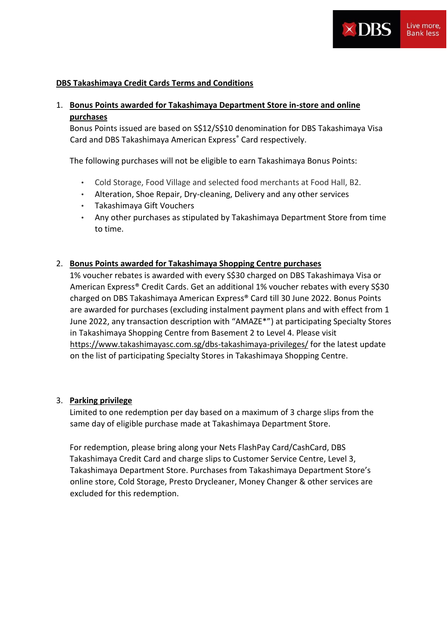

## **DBS Takashimaya Credit Cards Terms and Conditions**

# 1. **Bonus Points awarded for Takashimaya Department Store in-store and online purchases**

Bonus Points issued are based on S\$12/S\$10 denomination for DBS Takashimaya Visa Card and DBS Takashimaya American Express® Card respectively.

The following purchases will not be eligible to earn Takashimaya Bonus Points:

- Cold Storage, Food Village and selected food merchants at Food Hall, B2.
- Alteration, Shoe Repair, Dry-cleaning, Delivery and any other services
- Takashimaya Gift Vouchers
- Any other purchases as stipulated by Takashimaya Department Store from time to time.

## 2. **Bonus Points awarded for Takashimaya Shopping Centre purchases**

1% voucher rebates is awarded with every S\$30 charged on DBS Takashimaya Visa or American Express® Credit Cards. Get an additional 1% voucher rebates with every S\$30 charged on DBS Takashimaya American Express® Card till 30 June 2022. Bonus Points are awarded for purchases (excluding instalment payment plans and with effect from 1 June 2022, any transaction description with "AMAZE\*") at participating Specialty Stores in Takashimaya Shopping Centre from Basement 2 to Level 4. Please visit <https://www.takashimayasc.com.sg/dbs-takashimaya-privileges/> for the latest update on the list of participating Specialty Stores in Takashimaya Shopping Centre.

## 3. **Parking privilege**

Limited to one redemption per day based on a maximum of 3 charge slips from the same day of eligible purchase made at Takashimaya Department Store.

For redemption, please bring along your Nets FlashPay Card/CashCard, DBS Takashimaya Credit Card and charge slips to Customer Service Centre, Level 3, Takashimaya Department Store. Purchases from Takashimaya Department Store's online store, Cold Storage, Presto Drycleaner, Money Changer & other services are excluded for this redemption.